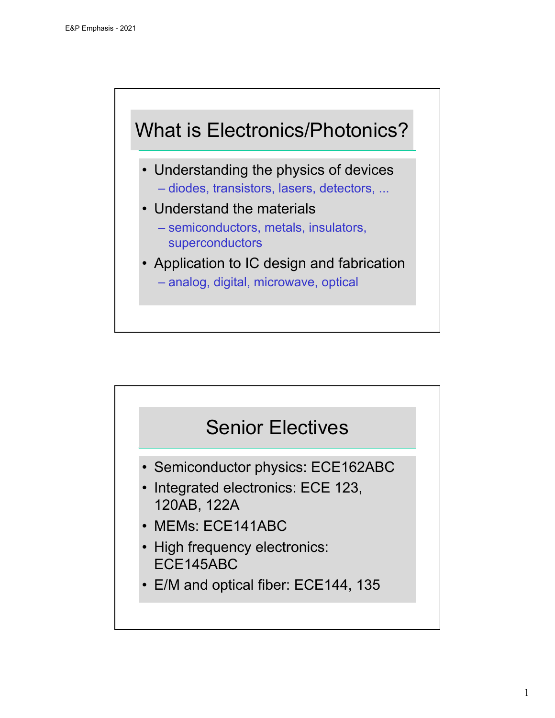## What is Electronics/Photonics?

- Understanding the physics of devices – diodes, transistors, lasers, detectors, ...
- Understand the materials – semiconductors, metals, insulators, superconductors
- Application to IC design and fabrication – analog, digital, microwave, optical

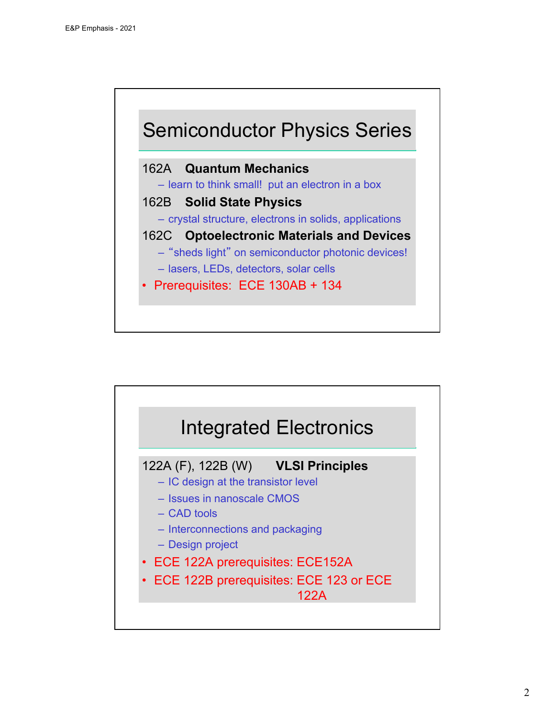

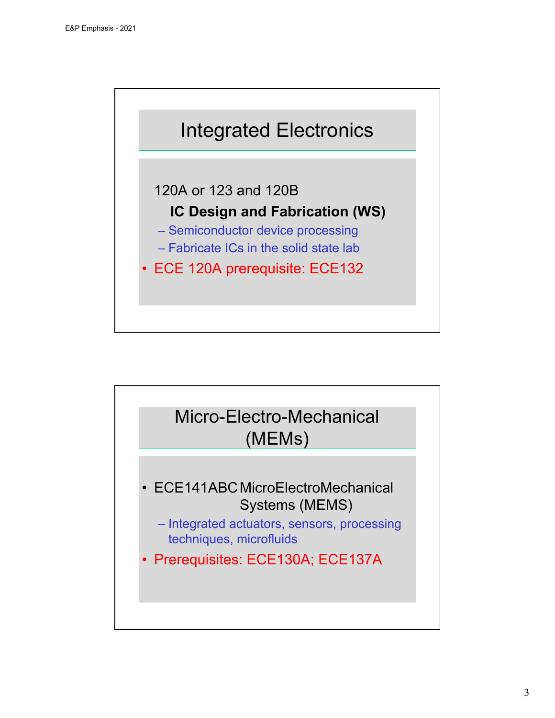

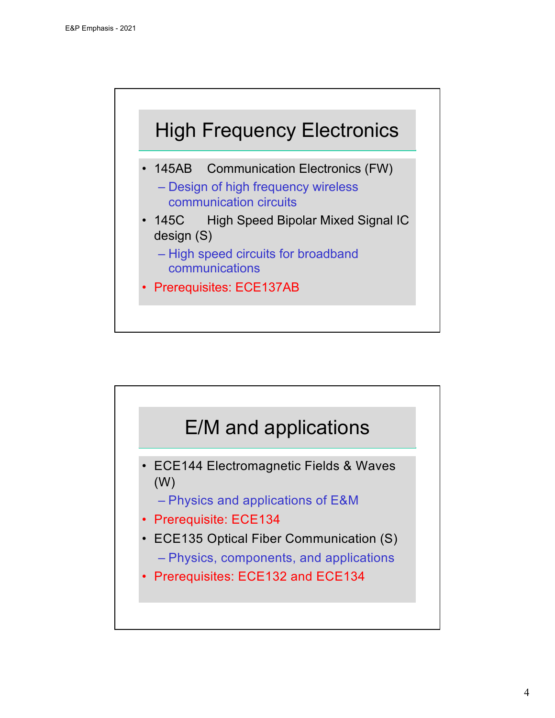